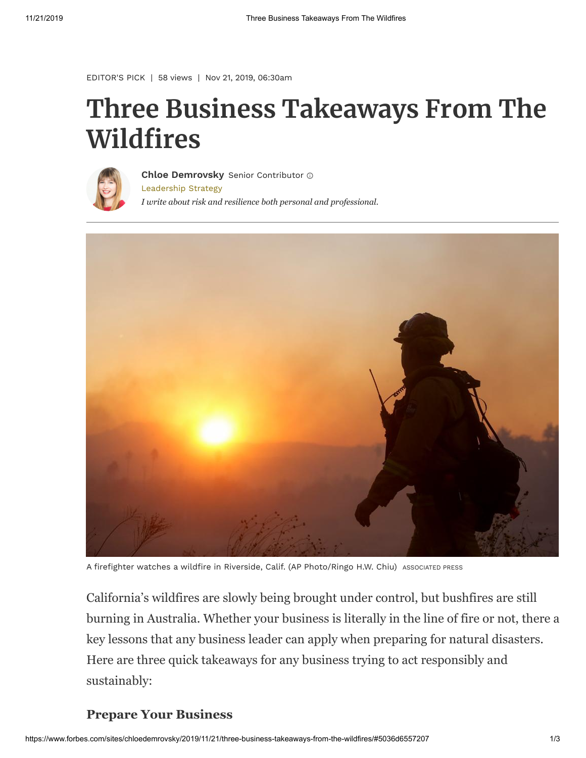```
EDITOR'S PICK | 58 views | Nov 21, 2019, 06:30am
```
# **Three Business Takeaways From The Wildfires**



[Leadership Strategy](https://www.forbes.com/leadership-strategy) *I write about risk and resilience both personal and professional.* **[Chloe Demrovsky](https://www.forbes.com/sites/chloedemrovsky/)** Senior Contributor



A firefighter watches a wildfire in Riverside, Calif. (AP Photo/Ringo H.W. Chiu) ASSOCIATED PRESS

California's wildfires are slowly being brought under control, but bushfires are still burning in Australia. Whether your business is literally in the line of fire or not, there a key lessons that any business leader can apply when preparing for natural disasters. Here are three quick takeaways for any business trying to act responsibly and sustainably:

#### **Prepare Your Business**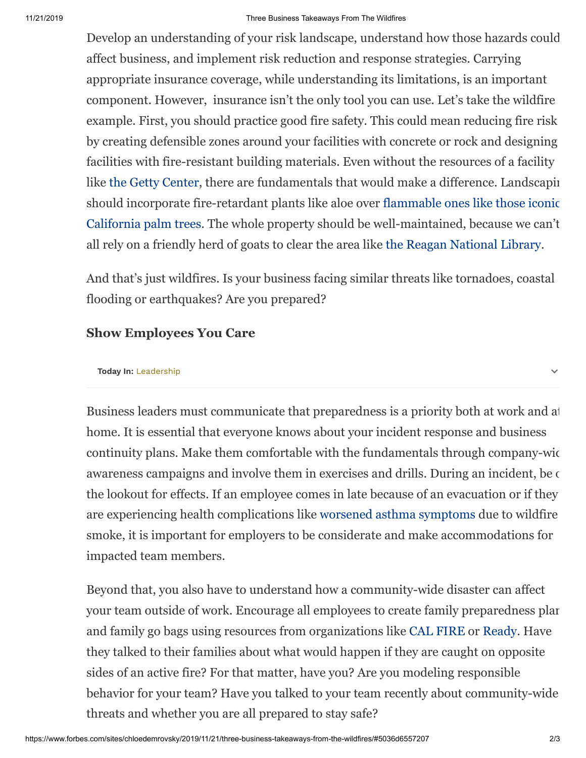#### 11/21/2019 Three Business Takeaways From The Wildfires

Develop an understanding of your risk landscape, understand how those hazards could affect business, and implement risk reduction and response strategies. Carrying appropriate insurance coverage, while understanding its limitations, is an important component. However, insurance isn't the only tool you can use. Let's take the wildfire example. First, you should practice good fire safety. This could mean reducing fire risk by creating defensible zones around your facilities with concrete or rock and designing facilities with fire-resistant building materials. Even without the resources of a facility like [the Getty Center,](https://www.nytimes.com/interactive/2017/12/12/arts/design/getty-center-fire-evacuation.html) there are fundamentals that would make a difference. Landscapin [should incorporate fire-retardant plants like aloe over flammable ones like those iconic](https://www.latimes.com/archives/la-xpm-1999-jan-18-me-64638-story.html) California palm trees. The whole property should be well-maintained, because we can't all rely on a friendly herd of goats to clear the area like [the Reagan National Library](https://www.usatoday.com/story/news/nation/2019/10/30/easy-fire-ronald-reagan-presidential-library-simi-valley-california-goats/4098268002/).

And that's just wildfires. Is your business facing similar threats like tornadoes, coastal flooding or earthquakes? Are you prepared?

### **Show Employees You Care**

#### **Today In:** [Leadership](https://www.forbes.com/leadership-strategy)

Business leaders must communicate that preparedness is a priority both at work and at home. It is essential that everyone knows about your incident response and business continuity plans. Make them comfortable with the fundamentals through company-wide awareness campaigns and involve them in exercises and drills. During an incident, be  $\epsilon$ the lookout for effects. If an employee comes in late because of an evacuation or if they are experiencing health complications like [worsened asthma symptoms](https://community.aafa.org/blog/wildfire-season-has-begun-and-it-affects-air-quality-and-asthma) due to wildfire smoke, it is important for employers to be considerate and make accommodations for impacted team members.

Beyond that, you also have to understand how a community-wide disaster can affect your team outside of work. Encourage all employees to create family preparedness plan and family go bags using resources from organizations like [CAL FIRE](https://www.readyforwildfire.org/) or [Ready](https://www.ready.gov/). Have they talked to their families about what would happen if they are caught on opposite sides of an active fire? For that matter, have you? Are you modeling responsible behavior for your team? Have you talked to your team recently about community-wide threats and whether you are all prepared to stay safe?